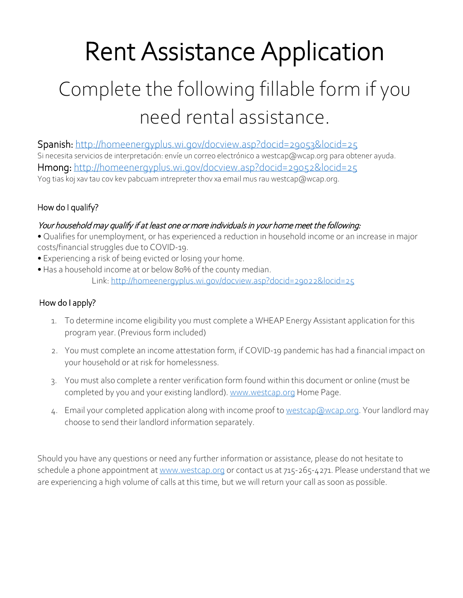# Rent Assistance Application Complete the following fillable form if you need rental assistance.

Spanish:<http://homeenergyplus.wi.gov/docview.asp?docid=29053&locid=25> Si necesita servicios de interpretación: envíe un correo electrónico a westcap@wcap.org para obtener ayuda. Hmong:<http://homeenergyplus.wi.gov/docview.asp?docid=29052&locid=25> Yog tias koj xav tau cov kev pabcuam intrepreter thov xa email mus rau westcap@wcap.org.

# How do I qualify?

# Your household may qualify if at least one or more individuals in your home meet the following:

- Qualifies for unemployment, or has experienced a reduction in household income or an increase in major costs/financial struggles due to COVID-19.
- Experiencing a risk of being evicted or losing your home.
- Has a household income at or below 80% of the county median. Link[: http://homeenergyplus.wi.gov/docview.asp?docid=29022&locid=25](http://homeenergyplus.wi.gov/docview.asp?docid=29022&locid=25)

# How do I apply?

- 1. To determine income eligibility you must complete a WHEAP Energy Assistant application for this program year. (Previous form included)
- 2. You must complete an income attestation form, if COVID-19 pandemic has had a financial impact on your household or at risk for homelessness.
- 3. You must also complete a renter verification form found within this document or online (must be completed by you and your existing landlord). [www.westcap.org](http://www.westcap.org/) Home Page.
- 4. Email your completed application along with income proof t[o westcap@wcap.org.](mailto:westcap@wcap.org) Your landlord may choose to send their landlord information separately.

Should you have any questions or need any further information or assistance, please do not hesitate to schedule a phone appointment a[t www.westcap.org](http://www.westcap.org/) or contact us at 715-265-4271. Please understand that we are experiencing a high volume of calls at this time, but we will return your call as soon as possible.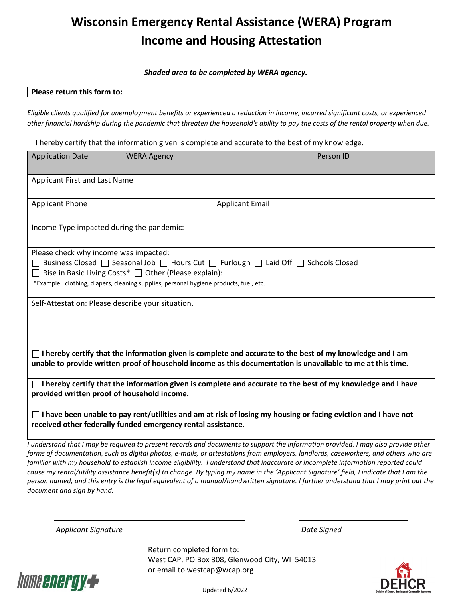# **Wisconsin Emergency Rental Assistance (WERA) Program Income and Housing Attestation**

*Shaded area to be completed by WERA agency.* 

#### **Please return this form to:**

*Eligible clients qualified for unemployment benefits or experienced a reduction in income, incurred significant costs, or experienced other financial hardship during the pandemic that threaten the household's ability to pay the costs of the rental property when due.* 

I hereby certify that the information given is complete and accurate to the best of my knowledge.

| <b>Application Date</b>                                                                                                                                                                                                                                                                             | <b>WERA Agency</b>     |  | Person ID |  |
|-----------------------------------------------------------------------------------------------------------------------------------------------------------------------------------------------------------------------------------------------------------------------------------------------------|------------------------|--|-----------|--|
| Applicant First and Last Name                                                                                                                                                                                                                                                                       |                        |  |           |  |
| <b>Applicant Phone</b>                                                                                                                                                                                                                                                                              | <b>Applicant Email</b> |  |           |  |
| Income Type impacted during the pandemic:                                                                                                                                                                                                                                                           |                        |  |           |  |
| Please check why income was impacted:<br>Business Closed<br>□ Seasonal Job<br>□ Hours Cut<br>□ Furlough  □ Laid Off  □ Schools Closed<br>$\Box$ Rise in Basic Living Costs* $\Box$ Other (Please explain):<br>*Example: clothing, diapers, cleaning supplies, personal hygiene products, fuel, etc. |                        |  |           |  |
| Self-Attestation: Please describe your situation.                                                                                                                                                                                                                                                   |                        |  |           |  |
| $\Box$ I hereby certify that the information given is complete and accurate to the best of my knowledge and I am<br>unable to provide written proof of household income as this documentation is unavailable to me at this time.                                                                    |                        |  |           |  |
| $\Box$ I hereby certify that the information given is complete and accurate to the best of my knowledge and I have<br>provided written proof of household income.                                                                                                                                   |                        |  |           |  |
| $\Box$ I have been unable to pay rent/utilities and am at risk of losing my housing or facing eviction and I have not<br>received other federally funded emergency rental assistance.                                                                                                               |                        |  |           |  |

*I understand that I may be required to present records and documents to support the information provided. I may also provide other forms of documentation, such as digital photos, e-mails, or attestations from employers, landlords, caseworkers, and others who are familiar with my household to establish income eligibility. I understand that inaccurate or incomplete information reported could cause my rental/utility assistance benefit(s) to change. By typing my name in the 'Applicant Signature' field, I indicate that I am the person named, and this entry is the legal equivalent of a manual/handwritten signature. I further understand that I may print out the document and sign by hand.*

 *Applicant Signature Date Signed*

Return completed form to: West CAP, PO Box 308, Glenwood City, WI 54013 or email to westcap@wcap.org



Updated 6/2022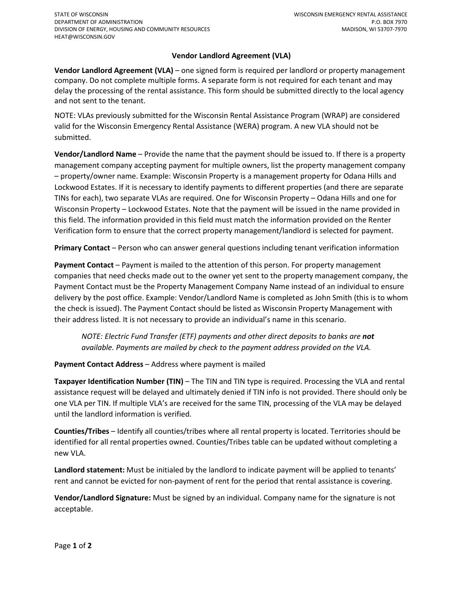#### **Vendor Landlord Agreement (VLA)**

**Vendor Landlord Agreement (VLA)** – one signed form is required per landlord or property management company. Do not complete multiple forms. A separate form is not required for each tenant and may delay the processing of the rental assistance. This form should be submitted directly to the local agency and not sent to the tenant.

NOTE: VLAs previously submitted for the Wisconsin Rental Assistance Program (WRAP) are considered valid for the Wisconsin Emergency Rental Assistance (WERA) program. A new VLA should not be submitted.

**Vendor/Landlord Name** – Provide the name that the payment should be issued to. If there is a property management company accepting payment for multiple owners, list the property management company – property/owner name. Example: Wisconsin Property is a management property for Odana Hills and Lockwood Estates. If it is necessary to identify payments to different properties (and there are separate TINs for each), two separate VLAs are required. One for Wisconsin Property – Odana Hills and one for Wisconsin Property – Lockwood Estates. Note that the payment will be issued in the name provided in this field. The information provided in this field must match the information provided on the Renter Verification form to ensure that the correct property management/landlord is selected for payment.

**Primary Contact** – Person who can answer general questions including tenant verification information

**Payment Contact** – Payment is mailed to the attention of this person. For property management companies that need checks made out to the owner yet sent to the property management company, the Payment Contact must be the Property Management Company Name instead of an individual to ensure delivery by the post office. Example: Vendor/Landlord Name is completed as John Smith (this is to whom the check is issued). The Payment Contact should be listed as Wisconsin Property Management with their address listed. It is not necessary to provide an individual's name in this scenario.

*NOTE: Electric Fund Transfer (ETF) payments and other direct deposits to banks are not available. Payments are mailed by check to the payment address provided on the VLA.* 

**Payment Contact Address** – Address where payment is mailed

**Taxpayer Identification Number (TIN)** – The TIN and TIN type is required. Processing the VLA and rental assistance request will be delayed and ultimately denied if TIN info is not provided. There should only be one VLA per TIN. If multiple VLA's are received for the same TIN, processing of the VLA may be delayed until the landlord information is verified.

**Counties/Tribes** – Identify all counties/tribes where all rental property is located. Territories should be identified for all rental properties owned. Counties/Tribes table can be updated without completing a new VLA.

**Landlord statement:** Must be initialed by the landlord to indicate payment will be applied to tenants' rent and cannot be evicted for non-payment of rent for the period that rental assistance is covering.

**Vendor/Landlord Signature:** Must be signed by an individual. Company name for the signature is not acceptable.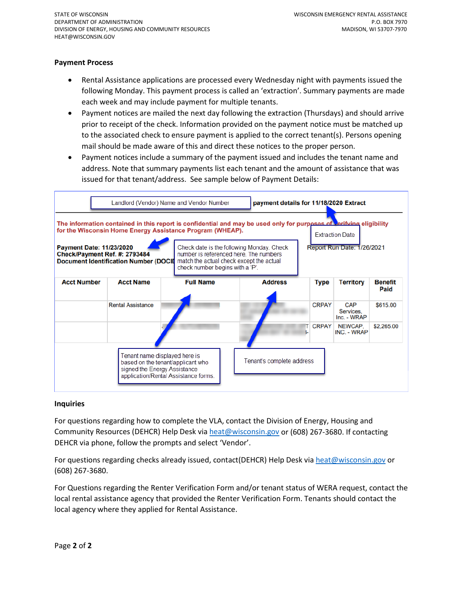#### **Payment Process**

- Rental Assistance applications are processed every Wednesday night with payments issued the following Monday. This payment process is called an 'extraction'. Summary payments are made each week and may include payment for multiple tenants.
- Payment notices are mailed the next day following the extraction (Thursdays) and should arrive prior to receipt of the check. Information provided on the payment notice must be matched up to the associated check to ensure payment is applied to the correct tenant(s). Persons opening mail should be made aware of this and direct these notices to the proper person.
- Payment notices include a summary of the payment issued and includes the tenant name and address. Note that summary payments list each tenant and the amount of assistance that was issued for that tenant/address. See sample below of Payment Details:

|                                                                                                                                                                                                            | Landlord (Vendor) Name and Vendor Number | payment details for 11/18/2020 Extract                                                                                                                             |                |                                   |                                        |                        |  |
|------------------------------------------------------------------------------------------------------------------------------------------------------------------------------------------------------------|------------------------------------------|--------------------------------------------------------------------------------------------------------------------------------------------------------------------|----------------|-----------------------------------|----------------------------------------|------------------------|--|
| The information contained in this report is confidential and may be used only for purposes of verifying eligibility<br>for the Wisconsin Home Energy Assistance Program (WHEAP).<br><b>Extraction Date</b> |                                          |                                                                                                                                                                    |                |                                   |                                        |                        |  |
| <b>Payment Date: 11/23/2020</b><br>Check/Payment Ref. #: 2793484<br>Document Identification Number (DOCII                                                                                                  |                                          | Check date is the following Monday. Check<br>number is referenced here. The numbers<br>match the actual check except the actual<br>check number begins with a 'P'. |                | <b>Report Run Date: 1/26/2021</b> |                                        |                        |  |
| <b>Acct Number</b>                                                                                                                                                                                         | <b>Acct Name</b>                         | <b>Full Name</b>                                                                                                                                                   | <b>Address</b> | <b>Type</b>                       | <b>Territory</b>                       | <b>Benefit</b><br>Paid |  |
|                                                                                                                                                                                                            | <b>Rental Assistance</b>                 |                                                                                                                                                                    |                | <b>CRPAY</b>                      | <b>CAP</b><br>Services.<br>Inc. - WRAP | \$615.00               |  |
|                                                                                                                                                                                                            |                                          |                                                                                                                                                                    |                | <b>CRPAY</b>                      | NEWCAP.<br>INC. - WRAP                 | \$2,265.00             |  |
| Tenant name displayed here is<br>Tenant's complete address<br>based on the tenant/applicant who<br>signed the Energy Assistance<br>application/Rental Assistance forms.                                    |                                          |                                                                                                                                                                    |                |                                   |                                        |                        |  |

#### **Inquiries**

For questions regarding how to complete the VLA, contact the Division of Energy, Housing and Community Resources (DEHCR) Help Desk via [heat@wisconsin.gov](mailto:heat@wisconsin.gov) or (608) 267-3680. If contacting DEHCR via phone, follow the prompts and select 'Vendor'.

For questions regarding checks already issued, contact(DEHCR) Help Desk vi[a heat@wisconsin.gov](mailto:heat@wisconsin.gov) or (608) 267-3680.

For Questions regarding the Renter Verification Form and/or tenant status of WERA request, contact the local rental assistance agency that provided the Renter Verification Form. Tenants should contact the local agency where they applied for Rental Assistance.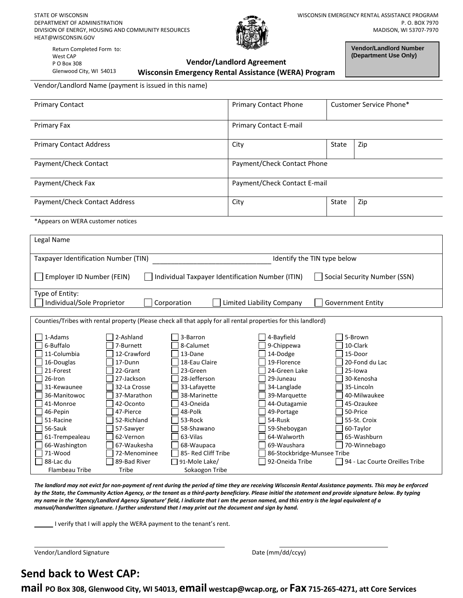STATE OF WISCONSIN DEPARTMENT OF ADMINISTRATION DIVISION OF ENERGY, HOUSING AND COMMUNITY RESOURCES HEAT@WISCONSIN.GOV

Vendor/Landlord Name (payment is issued in this name)



Return Completed Form to: West CAP P O Box 308 Glenwood City, WI 54013

#### **Vendor/Landlord Agreement Wisconsin Emergency Rental Assistance (WERA) Program**

**Vendor/Landlord Number (Department Use Only)**

| <b>Primary Contact E-mail</b> |       |     |
|-------------------------------|-------|-----|
| City                          | State | Zip |
| Payment/Check Contact Phone   |       |     |
| Payment/Check Contact E-mail  |       |     |
| City                          | State | Zip |
|                               |       |     |

| Legal Name                                                                                                                                                                                                                             |                                                                                                                                                                                                                                      |                                                                                                                                                                                                                                                    |                                                                                                                                                                                                                                                           |                                                                                                                                                                                                                                 |
|----------------------------------------------------------------------------------------------------------------------------------------------------------------------------------------------------------------------------------------|--------------------------------------------------------------------------------------------------------------------------------------------------------------------------------------------------------------------------------------|----------------------------------------------------------------------------------------------------------------------------------------------------------------------------------------------------------------------------------------------------|-----------------------------------------------------------------------------------------------------------------------------------------------------------------------------------------------------------------------------------------------------------|---------------------------------------------------------------------------------------------------------------------------------------------------------------------------------------------------------------------------------|
| Taxpayer Identification Number (TIN)                                                                                                                                                                                                   |                                                                                                                                                                                                                                      | Identify the TIN type below                                                                                                                                                                                                                        |                                                                                                                                                                                                                                                           |                                                                                                                                                                                                                                 |
| Employer ID Number (FEIN)                                                                                                                                                                                                              |                                                                                                                                                                                                                                      | Individual Taxpayer Identification Number (ITIN)                                                                                                                                                                                                   |                                                                                                                                                                                                                                                           | Social Security Number (SSN)                                                                                                                                                                                                    |
| Type of Entity:                                                                                                                                                                                                                        |                                                                                                                                                                                                                                      |                                                                                                                                                                                                                                                    |                                                                                                                                                                                                                                                           |                                                                                                                                                                                                                                 |
| Individual/Sole Proprietor                                                                                                                                                                                                             |                                                                                                                                                                                                                                      | Corporation                                                                                                                                                                                                                                        | Limited Liability Company                                                                                                                                                                                                                                 | Government Entity                                                                                                                                                                                                               |
|                                                                                                                                                                                                                                        |                                                                                                                                                                                                                                      |                                                                                                                                                                                                                                                    |                                                                                                                                                                                                                                                           |                                                                                                                                                                                                                                 |
|                                                                                                                                                                                                                                        |                                                                                                                                                                                                                                      | Counties/Tribes with rental property (Please check all that apply for all rental properties for this landlord)                                                                                                                                     |                                                                                                                                                                                                                                                           |                                                                                                                                                                                                                                 |
| 1-Adams<br>6-Buffalo<br>11-Columbia<br>16-Douglas<br>21-Forest<br>26-Iron<br>31-Kewaunee<br>36-Manitowoc<br>41-Monroe<br>46-Pepin<br>51-Racine<br>56-Sauk<br>61-Trempealeau<br>66-Washington<br>71-Wood<br>88-Lac du<br>Flambeau Tribe | 2-Ashland<br>7-Burnett<br>12-Crawford<br>17-Dunn<br>22-Grant<br>27-Jackson<br>32-La Crosse<br>37-Marathon<br>42-Oconto<br>47-Pierce<br>52-Richland<br>57-Sawyer<br>62-Vernon<br>67-Waukesha<br>72-Menominee<br>89-Bad River<br>Tribe | 3-Barron<br>8-Calumet<br>13-Dane<br>18-Eau Claire<br>23-Green<br>28-Jefferson<br>33-Lafayette<br>38-Marinette<br>43-Oneida<br>48-Polk<br>53-Rock<br>58-Shawano<br>63-Vilas<br>68-Waupaca<br>85- Red Cliff Tribe<br>91-Mole Lake/<br>Sokaogon Tribe | 4-Bayfield<br>9-Chippewa<br>14-Dodge<br>19-Florence<br>24-Green Lake<br>29-Juneau<br>34-Langlade<br>39-Marquette<br>44-Outagamie<br>49-Portage<br>54-Rusk<br>59-Sheboygan<br>64-Walworth<br>69-Waushara<br>86-Stockbridge-Munsee Tribe<br>92-Oneida Tribe | 5-Brown<br>10-Clark<br>15-Door<br>20-Fond du Lac<br>25-lowa<br>30-Kenosha<br>35-Lincoln<br>40-Milwaukee<br>45-Ozaukee<br>50-Price<br>55-St. Croix<br>60-Taylor<br>65-Washburn<br>70-Winnebago<br>94 - Lac Courte Oreilles Tribe |

*The landlord may not evict for non-payment of rent during the period of time they are receiving Wisconsin Rental Assistance payments. This may be enforced by the State, the Community Action Agency, or the tenant as a third-party beneficiary. Please initial the statement and provide signature below. By typing my name in the 'Agency/Landlord Agency Signature' field, I indicate that I am the person named, and this entry is the legal equivalent of a manual/handwritten signature. I further understand that I may print out the document and sign by hand.*

I verify that I will apply the WERA payment to the tenant's rent.

Vendor/Landlord Signature data and the Date (mm/dd/ccyy)

# **Send back to West CAP:**

**mail PO Box 308, Glenwood City, WI 54013, email westcap@wcap.org, or Fax 715-265-4271, att Core Services**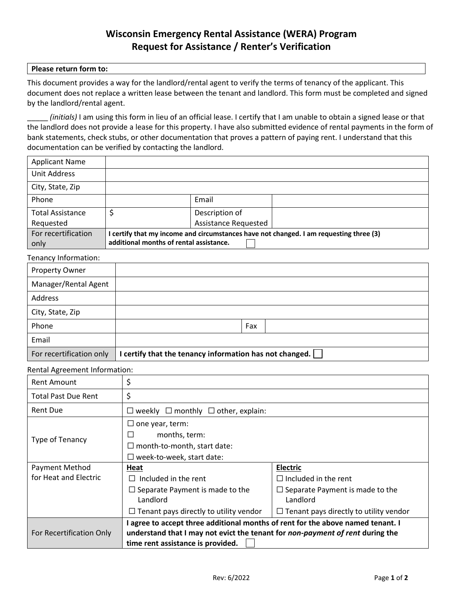# **Wisconsin Emergency Rental Assistance (WERA) Program Request for Assistance / Renter's Verification**

#### **Please return form to:**

This document provides a way for the landlord/rental agent to verify the terms of tenancy of the applicant. This document does not replace a written lease between the tenant and landlord. This form must be completed and signed by the landlord/rental agent.

\_\_\_\_\_ *(initials)* I am using this form in lieu of an official lease. I certify that I am unable to obtain a signed lease or that the landlord does not provide a lease for this property. I have also submitted evidence of rental payments in the form of bank statements, check stubs, or other documentation that proves a pattern of paying rent. I understand that this documentation can be verified by contacting the landlord.

| <b>Applicant Name</b>   |                                         |                      |                                                                                        |
|-------------------------|-----------------------------------------|----------------------|----------------------------------------------------------------------------------------|
| Unit Address            |                                         |                      |                                                                                        |
| City, State, Zip        |                                         |                      |                                                                                        |
| Phone                   |                                         | Email                |                                                                                        |
| <b>Total Assistance</b> |                                         | Description of       |                                                                                        |
| Requested               |                                         | Assistance Requested |                                                                                        |
| For recertification     |                                         |                      | I certify that my income and circumstances have not changed. I am requesting three (3) |
| only                    | additional months of rental assistance. |                      |                                                                                        |

#### Tenancy Information:

| Property Owner           |                                                         |
|--------------------------|---------------------------------------------------------|
| Manager/Rental Agent     |                                                         |
| Address                  |                                                         |
| City, State, Zip         |                                                         |
| Phone                    | Fax                                                     |
| Email                    |                                                         |
| For recertification only | I certify that the tenancy information has not changed. |

#### Rental Agreement Information:

| <b>Rent Amount</b>                | \$                                                                              |                                               |  |  |
|-----------------------------------|---------------------------------------------------------------------------------|-----------------------------------------------|--|--|
| <b>Total Past Due Rent</b>        | \$                                                                              |                                               |  |  |
| <b>Rent Due</b>                   | $\Box$ weekly $\Box$ monthly $\Box$ other, explain:                             |                                               |  |  |
|                                   | $\Box$ one year, term:                                                          |                                               |  |  |
| Type of Tenancy                   | months, term:                                                                   |                                               |  |  |
|                                   | $\Box$ month-to-month, start date:                                              |                                               |  |  |
|                                   | $\Box$ week-to-week, start date:                                                |                                               |  |  |
| Payment Method                    | Heat                                                                            | <b>Electric</b>                               |  |  |
| for Heat and Electric             | Included in the rent<br>$\perp$                                                 | $\Box$ Included in the rent                   |  |  |
|                                   | $\Box$ Separate Payment is made to the                                          | $\Box$ Separate Payment is made to the        |  |  |
|                                   | Landlord                                                                        | Landlord                                      |  |  |
|                                   | $\Box$ Tenant pays directly to utility vendor                                   | $\Box$ Tenant pays directly to utility vendor |  |  |
|                                   | I agree to accept three additional months of rent for the above named tenant. I |                                               |  |  |
| For Recertification Only          | understand that I may not evict the tenant for non-payment of rent during the   |                                               |  |  |
| time rent assistance is provided. |                                                                                 |                                               |  |  |